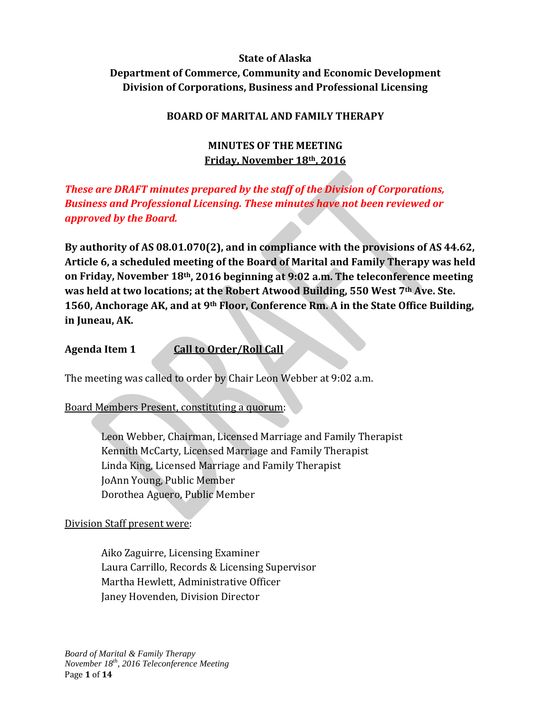# **State of Alaska Department of Commerce, Community and Economic Development Division of Corporations, Business and Professional Licensing**

## **BOARD OF MARITAL AND FAMILY THERAPY**

## **MINUTES OF THE MEETING Friday, November 18th, 2016**

# *These are DRAFT minutes prepared by the staff of the Division of Corporations, Business and Professional Licensing. These minutes have not been reviewed or approved by the Board.*

**By authority of AS 08.01.070(2), and in compliance with the provisions of AS 44.62, Article 6, a scheduled meeting of the Board of Marital and Family Therapy was held on Friday, November 18th, 2016 beginning at 9:02 a.m. The teleconference meeting was held at two locations; at the Robert Atwood Building, 550 West 7th Ave. Ste. 1560, Anchorage AK, and at 9th Floor, Conference Rm. A in the State Office Building, in Juneau, AK.** 

**Agenda Item 1 Call to Order/Roll Call** 

The meeting was called to order by Chair Leon Webber at 9:02 a.m.

Board Members Present, constituting a quorum:

Leon Webber, Chairman, Licensed Marriage and Family Therapist Kennith McCarty, Licensed Marriage and Family Therapist Linda King, Licensed Marriage and Family Therapist JoAnn Young, Public Member Dorothea Aguero, Public Member

## Division Staff present were:

Aiko Zaguirre, Licensing Examiner Laura Carrillo, Records & Licensing Supervisor Martha Hewlett, Administrative Officer Janey Hovenden, Division Director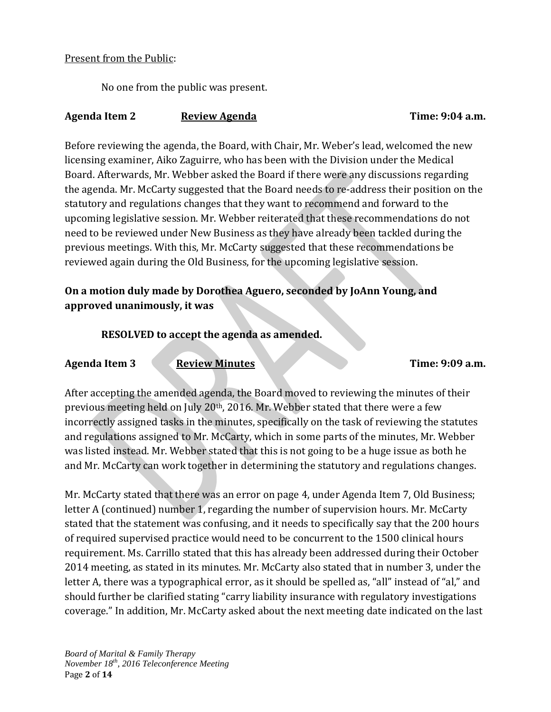#### Present from the Public:

No one from the public was present.

#### Agenda Item 2 Review Agenda **Review Agenda** Time: 9:04 a.m.

Before reviewing the agenda, the Board, with Chair, Mr. Weber's lead, welcomed the new licensing examiner, Aiko Zaguirre, who has been with the Division under the Medical Board. Afterwards, Mr. Webber asked the Board if there were any discussions regarding the agenda. Mr. McCarty suggested that the Board needs to re-address their position on the statutory and regulations changes that they want to recommend and forward to the upcoming legislative session. Mr. Webber reiterated that these recommendations do not need to be reviewed under New Business as they have already been tackled during the previous meetings. With this, Mr. McCarty suggested that these recommendations be reviewed again during the Old Business, for the upcoming legislative session.

# **On a motion duly made by Dorothea Aguero, seconded by JoAnn Young, and approved unanimously, it was**

## **RESOLVED to accept the agenda as amended.**

**Agenda Item 3 Review Minutes Time: 9:09 a.m.**

After accepting the amended agenda, the Board moved to reviewing the minutes of their previous meeting held on July 20th, 2016. Mr. Webber stated that there were a few incorrectly assigned tasks in the minutes, specifically on the task of reviewing the statutes and regulations assigned to Mr. McCarty, which in some parts of the minutes, Mr. Webber was listed instead. Mr. Webber stated that this is not going to be a huge issue as both he and Mr. McCarty can work together in determining the statutory and regulations changes.

Mr. McCarty stated that there was an error on page 4, under Agenda Item 7, Old Business; letter A (continued) number 1, regarding the number of supervision hours. Mr. McCarty stated that the statement was confusing, and it needs to specifically say that the 200 hours of required supervised practice would need to be concurrent to the 1500 clinical hours requirement. Ms. Carrillo stated that this has already been addressed during their October 2014 meeting, as stated in its minutes. Mr. McCarty also stated that in number 3, under the letter A, there was a typographical error, as it should be spelled as, "all" instead of "al," and should further be clarified stating "carry liability insurance with regulatory investigations coverage." In addition, Mr. McCarty asked about the next meeting date indicated on the last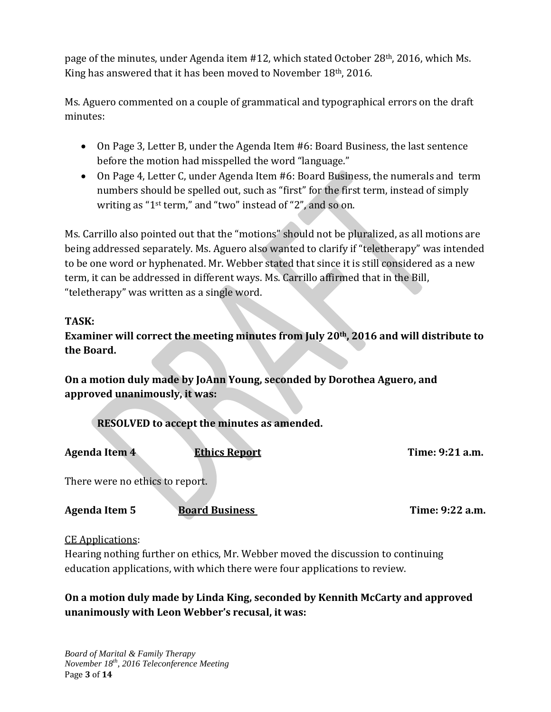page of the minutes, under Agenda item #12, which stated October 28th, 2016, which Ms. King has answered that it has been moved to November 18th, 2016.

Ms. Aguero commented on a couple of grammatical and typographical errors on the draft minutes:

- On Page 3, Letter B, under the Agenda Item #6: Board Business, the last sentence before the motion had misspelled the word "language."
- On Page 4, Letter C, under Agenda Item #6: Board Business, the numerals and term numbers should be spelled out, such as "first" for the first term, instead of simply writing as "1st term," and "two" instead of "2", and so on.

Ms. Carrillo also pointed out that the "motions" should not be pluralized, as all motions are being addressed separately. Ms. Aguero also wanted to clarify if "teletherapy" was intended to be one word or hyphenated. Mr. Webber stated that since it is still considered as a new term, it can be addressed in different ways. Ms. Carrillo affirmed that in the Bill, "teletherapy" was written as a single word.

# **TASK:**

**Examiner will correct the meeting minutes from July 20th, 2016 and will distribute to the Board.**

**On a motion duly made by JoAnn Young, seconded by Dorothea Aguero, and approved unanimously, it was:**

**RESOLVED to accept the minutes as amended.**

Agenda Item 4 **Ethics Report** Time: 9:21 a.m.

There were no ethics to report.

**Agenda Item 5 Board Business Time: 9:22 a.m.**

CE Applications:

Hearing nothing further on ethics, Mr. Webber moved the discussion to continuing education applications, with which there were four applications to review.

# **On a motion duly made by Linda King, seconded by Kennith McCarty and approved unanimously with Leon Webber's recusal, it was:**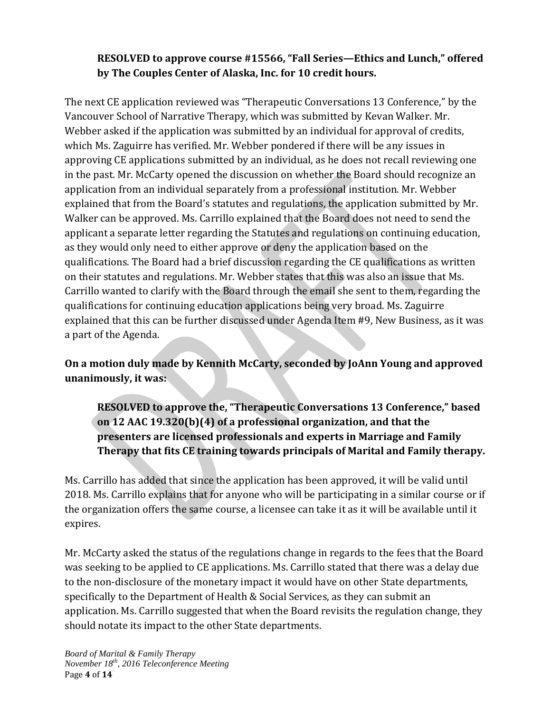# **RESOLVED to approve course #15566, "Fall Series—Ethics and Lunch," offered by The Couples Center of Alaska, Inc. for 10 credit hours.**

The next CE application reviewed was "Therapeutic Conversations 13 Conference," by the Vancouver School of Narrative Therapy, which was submitted by Kevan Walker. Mr. Webber asked if the application was submitted by an individual for approval of credits, which Ms. Zaguirre has verified. Mr. Webber pondered if there will be any issues in approving CE applications submitted by an individual, as he does not recall reviewing one in the past. Mr. McCarty opened the discussion on whether the Board should recognize an application from an individual separately from a professional institution. Mr. Webber explained that from the Board's statutes and regulations, the application submitted by Mr. Walker can be approved. Ms. Carrillo explained that the Board does not need to send the applicant a separate letter regarding the Statutes and regulations on continuing education, as they would only need to either approve or deny the application based on the qualifications. The Board had a brief discussion regarding the CE qualifications as written on their statutes and regulations. Mr. Webber states that this was also an issue that Ms. Carrillo wanted to clarify with the Board through the email she sent to them, regarding the qualifications for continuing education applications being very broad. Ms. Zaguirre explained that this can be further discussed under Agenda Item #9, New Business, as it was a part of the Agenda.

**On a motion duly made by Kennith McCarty, seconded by JoAnn Young and approved unanimously, it was:**

**RESOLVED to approve the, "Therapeutic Conversations 13 Conference," based on 12 AAC 19.320(b)(4) of a professional organization, and that the presenters are licensed professionals and experts in Marriage and Family Therapy that fits CE training towards principals of Marital and Family therapy.** 

Ms. Carrillo has added that since the application has been approved, it will be valid until 2018. Ms. Carrillo explains that for anyone who will be participating in a similar course or if the organization offers the same course, a licensee can take it as it will be available until it expires.

Mr. McCarty asked the status of the regulations change in regards to the fees that the Board was seeking to be applied to CE applications. Ms. Carrillo stated that there was a delay due to the non-disclosure of the monetary impact it would have on other State departments, specifically to the Department of Health & Social Services, as they can submit an application. Ms. Carrillo suggested that when the Board revisits the regulation change, they should notate its impact to the other State departments.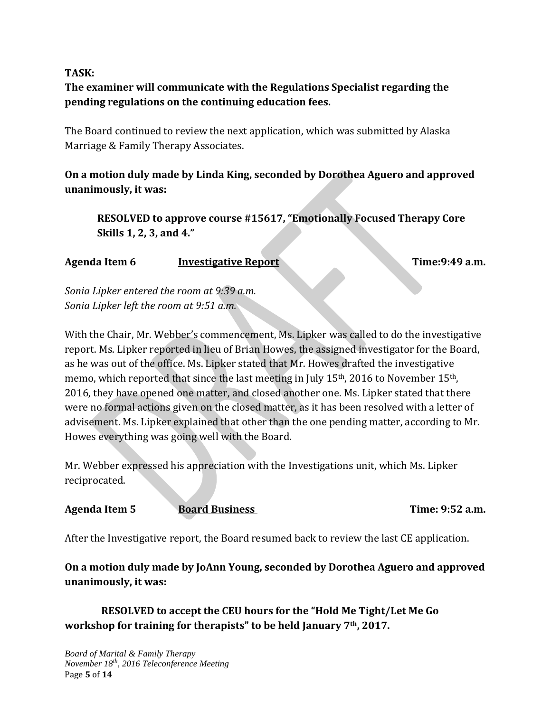#### **TASK:**

# **The examiner will communicate with the Regulations Specialist regarding the pending regulations on the continuing education fees.**

The Board continued to review the next application, which was submitted by Alaska Marriage & Family Therapy Associates.

**On a motion duly made by Linda King, seconded by Dorothea Aguero and approved unanimously, it was:**

**RESOLVED to approve course #15617, "Emotionally Focused Therapy Core Skills 1, 2, 3, and 4."**

Agenda Item 6 **Investigative Report Time:9:49 a.m.** 

*Sonia Lipker entered the room at 9:39 a.m. Sonia Lipker left the room at 9:51 a.m.*

With the Chair, Mr. Webber's commencement, Ms. Lipker was called to do the investigative report. Ms. Lipker reported in lieu of Brian Howes, the assigned investigator for the Board, as he was out of the office. Ms. Lipker stated that Mr. Howes drafted the investigative memo, which reported that since the last meeting in July 15th, 2016 to November 15th, 2016, they have opened one matter, and closed another one. Ms. Lipker stated that there were no formal actions given on the closed matter, as it has been resolved with a letter of advisement. Ms. Lipker explained that other than the one pending matter, according to Mr. Howes everything was going well with the Board.

Mr. Webber expressed his appreciation with the Investigations unit, which Ms. Lipker reciprocated.

#### Agenda Item 5 **Board Business** Time: 9:52 a.m.

After the Investigative report, the Board resumed back to review the last CE application.

**On a motion duly made by JoAnn Young, seconded by Dorothea Aguero and approved unanimously, it was:**

**RESOLVED to accept the CEU hours for the "Hold Me Tight/Let Me Go workshop for training for therapists" to be held January 7th, 2017.**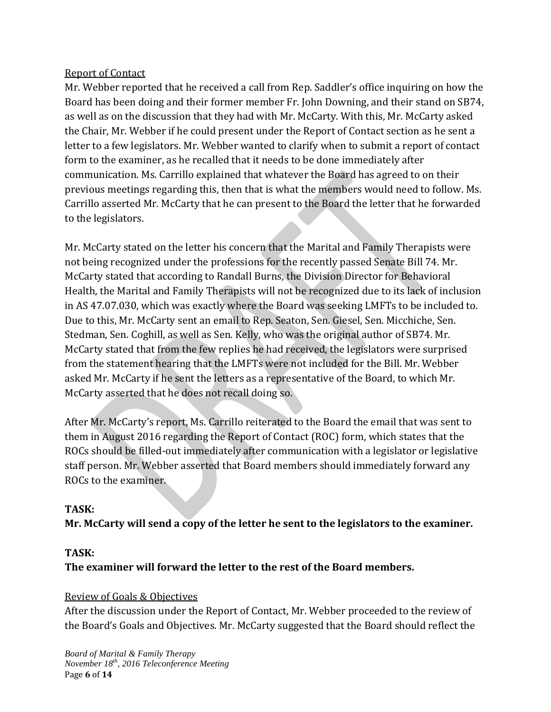## Report of Contact

Mr. Webber reported that he received a call from Rep. Saddler's office inquiring on how the Board has been doing and their former member Fr. John Downing, and their stand on SB74, as well as on the discussion that they had with Mr. McCarty. With this, Mr. McCarty asked the Chair, Mr. Webber if he could present under the Report of Contact section as he sent a letter to a few legislators. Mr. Webber wanted to clarify when to submit a report of contact form to the examiner, as he recalled that it needs to be done immediately after communication. Ms. Carrillo explained that whatever the Board has agreed to on their previous meetings regarding this, then that is what the members would need to follow. Ms. Carrillo asserted Mr. McCarty that he can present to the Board the letter that he forwarded to the legislators.

Mr. McCarty stated on the letter his concern that the Marital and Family Therapists were not being recognized under the professions for the recently passed Senate Bill 74. Mr. McCarty stated that according to Randall Burns, the Division Director for Behavioral Health, the Marital and Family Therapists will not be recognized due to its lack of inclusion in AS 47.07.030, which was exactly where the Board was seeking LMFTs to be included to. Due to this, Mr. McCarty sent an email to Rep. Seaton, Sen. Giesel, Sen. Micchiche, Sen. Stedman, Sen. Coghill, as well as Sen. Kelly, who was the original author of SB74. Mr. McCarty stated that from the few replies he had received, the legislators were surprised from the statement hearing that the LMFTs were not included for the Bill. Mr. Webber asked Mr. McCarty if he sent the letters as a representative of the Board, to which Mr. McCarty asserted that he does not recall doing so.

After Mr. McCarty's report, Ms. Carrillo reiterated to the Board the email that was sent to them in August 2016 regarding the Report of Contact (ROC) form, which states that the ROCs should be filled-out immediately after communication with a legislator or legislative staff person. Mr. Webber asserted that Board members should immediately forward any ROCs to the examiner.

## **TASK:**

## **Mr. McCarty will send a copy of the letter he sent to the legislators to the examiner.**

#### **TASK:**

## **The examiner will forward the letter to the rest of the Board members.**

#### Review of Goals & Objectives

After the discussion under the Report of Contact, Mr. Webber proceeded to the review of the Board's Goals and Objectives. Mr. McCarty suggested that the Board should reflect the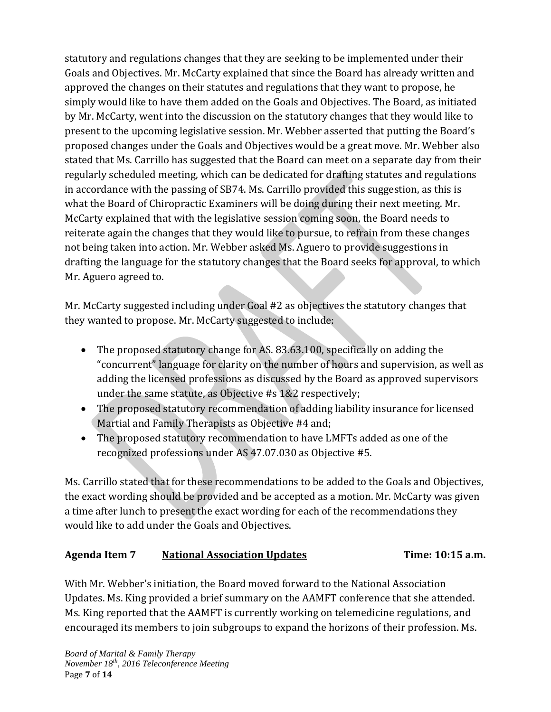statutory and regulations changes that they are seeking to be implemented under their Goals and Objectives. Mr. McCarty explained that since the Board has already written and approved the changes on their statutes and regulations that they want to propose, he simply would like to have them added on the Goals and Objectives. The Board, as initiated by Mr. McCarty, went into the discussion on the statutory changes that they would like to present to the upcoming legislative session. Mr. Webber asserted that putting the Board's proposed changes under the Goals and Objectives would be a great move. Mr. Webber also stated that Ms. Carrillo has suggested that the Board can meet on a separate day from their regularly scheduled meeting, which can be dedicated for drafting statutes and regulations in accordance with the passing of SB74. Ms. Carrillo provided this suggestion, as this is what the Board of Chiropractic Examiners will be doing during their next meeting. Mr. McCarty explained that with the legislative session coming soon, the Board needs to reiterate again the changes that they would like to pursue, to refrain from these changes not being taken into action. Mr. Webber asked Ms. Aguero to provide suggestions in drafting the language for the statutory changes that the Board seeks for approval, to which Mr. Aguero agreed to.

Mr. McCarty suggested including under Goal #2 as objectives the statutory changes that they wanted to propose. Mr. McCarty suggested to include:

- The proposed statutory change for AS. 83.63.100, specifically on adding the "concurrent" language for clarity on the number of hours and supervision, as well as adding the licensed professions as discussed by the Board as approved supervisors under the same statute, as Objective #s 1&2 respectively;
- The proposed statutory recommendation of adding liability insurance for licensed Martial and Family Therapists as Objective #4 and;
- The proposed statutory recommendation to have LMFTs added as one of the recognized professions under AS 47.07.030 as Objective #5.

Ms. Carrillo stated that for these recommendations to be added to the Goals and Objectives, the exact wording should be provided and be accepted as a motion. Mr. McCarty was given a time after lunch to present the exact wording for each of the recommendations they would like to add under the Goals and Objectives.

# **Agenda Item 7 National Association Updates Time: 10:15 a.m.**

With Mr. Webber's initiation, the Board moved forward to the National Association Updates. Ms. King provided a brief summary on the AAMFT conference that she attended. Ms. King reported that the AAMFT is currently working on telemedicine regulations, and encouraged its members to join subgroups to expand the horizons of their profession. Ms.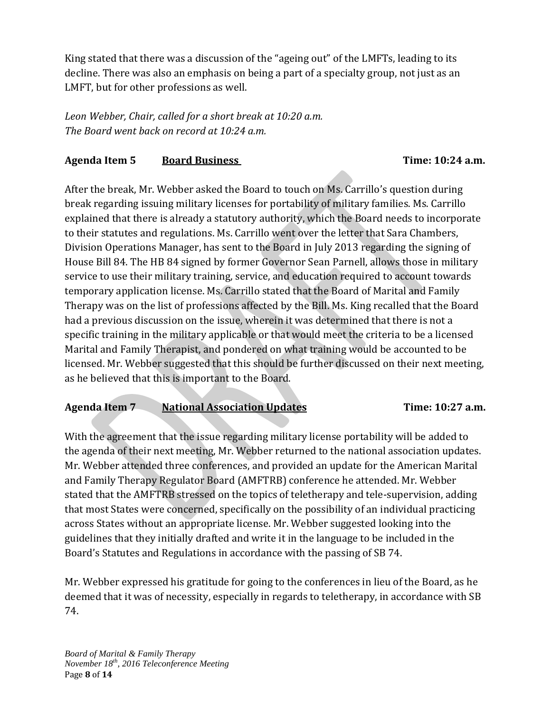King stated that there was a discussion of the "ageing out" of the LMFTs, leading to its decline. There was also an emphasis on being a part of a specialty group, not just as an LMFT, but for other professions as well.

*Leon Webber, Chair, called for a short break at 10:20 a.m. The Board went back on record at 10:24 a.m.*

## Agenda Item 5 **Board Business** Time: 10:24 a.m.

After the break, Mr. Webber asked the Board to touch on Ms. Carrillo's question during break regarding issuing military licenses for portability of military families. Ms. Carrillo explained that there is already a statutory authority, which the Board needs to incorporate to their statutes and regulations. Ms. Carrillo went over the letter that Sara Chambers, Division Operations Manager, has sent to the Board in July 2013 regarding the signing of House Bill 84. The HB 84 signed by former Governor Sean Parnell, allows those in military service to use their military training, service, and education required to account towards temporary application license. Ms. Carrillo stated that the Board of Marital and Family Therapy was on the list of professions affected by the Bill. Ms. King recalled that the Board had a previous discussion on the issue, wherein it was determined that there is not a specific training in the military applicable or that would meet the criteria to be a licensed Marital and Family Therapist, and pondered on what training would be accounted to be licensed. Mr. Webber suggested that this should be further discussed on their next meeting, as he believed that this is important to the Board.

## **Agenda Item 7 National Association Updates Time: 10:27 a.m.**

With the agreement that the issue regarding military license portability will be added to the agenda of their next meeting, Mr. Webber returned to the national association updates. Mr. Webber attended three conferences, and provided an update for the American Marital and Family Therapy Regulator Board (AMFTRB) conference he attended. Mr. Webber stated that the AMFTRB stressed on the topics of teletherapy and tele-supervision, adding that most States were concerned, specifically on the possibility of an individual practicing across States without an appropriate license. Mr. Webber suggested looking into the guidelines that they initially drafted and write it in the language to be included in the Board's Statutes and Regulations in accordance with the passing of SB 74.

Mr. Webber expressed his gratitude for going to the conferences in lieu of the Board, as he deemed that it was of necessity, especially in regards to teletherapy, in accordance with SB 74.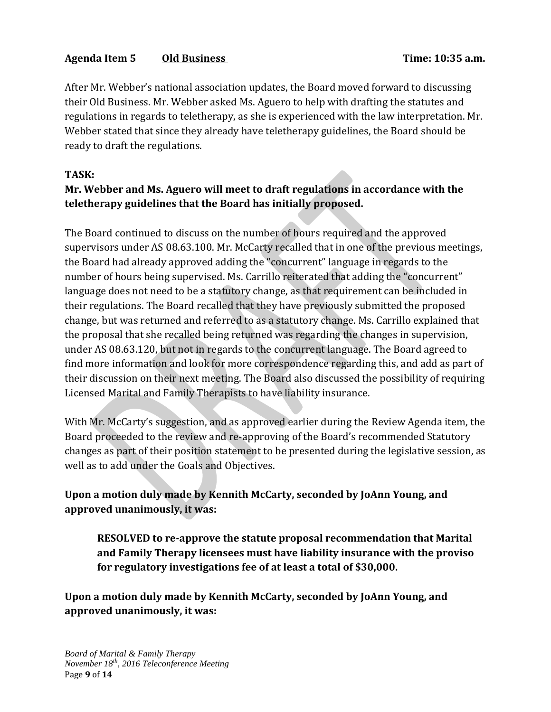# Agenda Item 5 **Old Business Time: 10:35 a.m.**

After Mr. Webber's national association updates, the Board moved forward to discussing their Old Business. Mr. Webber asked Ms. Aguero to help with drafting the statutes and regulations in regards to teletherapy, as she is experienced with the law interpretation. Mr. Webber stated that since they already have teletherapy guidelines, the Board should be ready to draft the regulations.

## **TASK:**

# **Mr. Webber and Ms. Aguero will meet to draft regulations in accordance with the teletherapy guidelines that the Board has initially proposed.**

The Board continued to discuss on the number of hours required and the approved supervisors under AS 08.63.100. Mr. McCarty recalled that in one of the previous meetings, the Board had already approved adding the "concurrent" language in regards to the number of hours being supervised. Ms. Carrillo reiterated that adding the "concurrent" language does not need to be a statutory change, as that requirement can be included in their regulations. The Board recalled that they have previously submitted the proposed change, but was returned and referred to as a statutory change. Ms. Carrillo explained that the proposal that she recalled being returned was regarding the changes in supervision, under AS 08.63.120, but not in regards to the concurrent language. The Board agreed to find more information and look for more correspondence regarding this, and add as part of their discussion on their next meeting. The Board also discussed the possibility of requiring Licensed Marital and Family Therapists to have liability insurance.

With Mr. McCarty's suggestion, and as approved earlier during the Review Agenda item, the Board proceeded to the review and re-approving of the Board's recommended Statutory changes as part of their position statement to be presented during the legislative session, as well as to add under the Goals and Objectives.

# **Upon a motion duly made by Kennith McCarty, seconded by JoAnn Young, and approved unanimously, it was:**

**RESOLVED to re-approve the statute proposal recommendation that Marital and Family Therapy licensees must have liability insurance with the proviso for regulatory investigations fee of at least a total of \$30,000.**

**Upon a motion duly made by Kennith McCarty, seconded by JoAnn Young, and approved unanimously, it was:**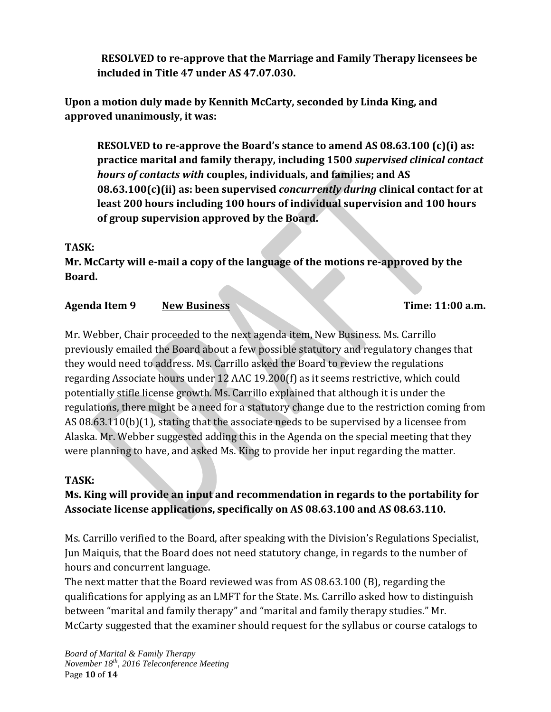**RESOLVED to re-approve that the Marriage and Family Therapy licensees be included in Title 47 under AS 47.07.030.**

**Upon a motion duly made by Kennith McCarty, seconded by Linda King, and approved unanimously, it was:**

**RESOLVED to re-approve the Board's stance to amend AS 08.63.100 (c)(i) as: practice marital and family therapy, including 1500** *supervised clinical contact hours of contacts with* **couples, individuals, and families; and AS 08.63.100(c)(ii) as: been supervised** *concurrently during* **clinical contact for at least 200 hours including 100 hours of individual supervision and 100 hours of group supervision approved by the Board.**

## **TASK:**

**Mr. McCarty will e-mail a copy of the language of the motions re-approved by the Board.**

# **Agenda Item 9 New Business Time: 11:00 a.m.**

Mr. Webber, Chair proceeded to the next agenda item, New Business. Ms. Carrillo previously emailed the Board about a few possible statutory and regulatory changes that they would need to address. Ms. Carrillo asked the Board to review the regulations regarding Associate hours under 12 AAC 19.200(f) as it seems restrictive, which could potentially stifle license growth. Ms. Carrillo explained that although it is under the regulations, there might be a need for a statutory change due to the restriction coming from AS 08.63.110(b)(1), stating that the associate needs to be supervised by a licensee from Alaska. Mr. Webber suggested adding this in the Agenda on the special meeting that they were planning to have, and asked Ms. King to provide her input regarding the matter.

# **TASK:**

# **Ms. King will provide an input and recommendation in regards to the portability for Associate license applications, specifically on AS 08.63.100 and AS 08.63.110.**

Ms. Carrillo verified to the Board, after speaking with the Division's Regulations Specialist, Jun Maiquis, that the Board does not need statutory change, in regards to the number of hours and concurrent language.

The next matter that the Board reviewed was from AS 08.63.100 (B), regarding the qualifications for applying as an LMFT for the State. Ms. Carrillo asked how to distinguish between "marital and family therapy" and "marital and family therapy studies." Mr. McCarty suggested that the examiner should request for the syllabus or course catalogs to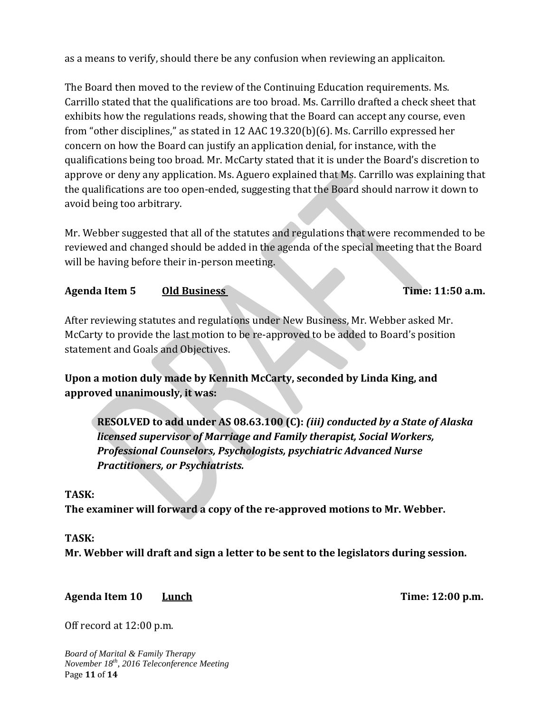as a means to verify, should there be any confusion when reviewing an applicaiton.

The Board then moved to the review of the Continuing Education requirements. Ms. Carrillo stated that the qualifications are too broad. Ms. Carrillo drafted a check sheet that exhibits how the regulations reads, showing that the Board can accept any course, even from "other disciplines," as stated in 12 AAC 19.320(b)(6). Ms. Carrillo expressed her concern on how the Board can justify an application denial, for instance, with the qualifications being too broad. Mr. McCarty stated that it is under the Board's discretion to approve or deny any application. Ms. Aguero explained that Ms. Carrillo was explaining that the qualifications are too open-ended, suggesting that the Board should narrow it down to avoid being too arbitrary.

Mr. Webber suggested that all of the statutes and regulations that were recommended to be reviewed and changed should be added in the agenda of the special meeting that the Board will be having before their in-person meeting.

#### Agenda Item 5 **Old Business Contained Agents** Time: 11:50 a.m.

After reviewing statutes and regulations under New Business, Mr. Webber asked Mr. McCarty to provide the last motion to be re-approved to be added to Board's position statement and Goals and Objectives.

**Upon a motion duly made by Kennith McCarty, seconded by Linda King, and approved unanimously, it was:**

**RESOLVED to add under AS 08.63.100 (C):** *(iii) conducted by a State of Alaska licensed supervisor of Marriage and Family therapist, Social Workers, Professional Counselors, Psychologists, psychiatric Advanced Nurse Practitioners, or Psychiatrists.*

#### **TASK:**

**The examiner will forward a copy of the re-approved motions to Mr. Webber.**

#### **TASK:**

**Mr. Webber will draft and sign a letter to be sent to the legislators during session.**

Agenda Item 10 **Lunch Lunch Time:** 12:00 p.m.

Off record at 12:00 p.m.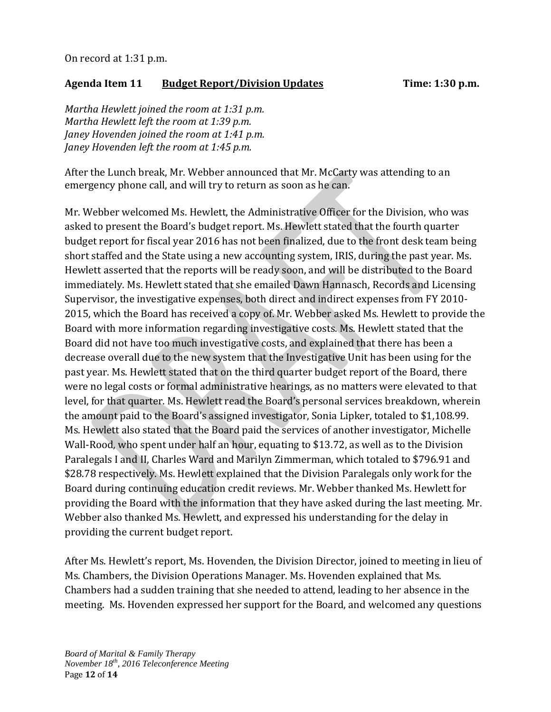## **Agenda Item 11 Budget Report/Division Updates Time: 1:30 p.m.**

*Martha Hewlett joined the room at 1:31 p.m. Martha Hewlett left the room at 1:39 p.m. Janey Hovenden joined the room at 1:41 p.m. Janey Hovenden left the room at 1:45 p.m.*

After the Lunch break, Mr. Webber announced that Mr. McCarty was attending to an emergency phone call, and will try to return as soon as he can.

Mr. Webber welcomed Ms. Hewlett, the Administrative Officer for the Division, who was asked to present the Board's budget report. Ms. Hewlett stated that the fourth quarter budget report for fiscal year 2016 has not been finalized, due to the front desk team being short staffed and the State using a new accounting system, IRIS, during the past year. Ms. Hewlett asserted that the reports will be ready soon, and will be distributed to the Board immediately. Ms. Hewlett stated that she emailed Dawn Hannasch, Records and Licensing Supervisor, the investigative expenses, both direct and indirect expenses from FY 2010- 2015, which the Board has received a copy of. Mr. Webber asked Ms. Hewlett to provide the Board with more information regarding investigative costs. Ms. Hewlett stated that the Board did not have too much investigative costs, and explained that there has been a decrease overall due to the new system that the Investigative Unit has been using for the past year. Ms. Hewlett stated that on the third quarter budget report of the Board, there were no legal costs or formal administrative hearings, as no matters were elevated to that level, for that quarter. Ms. Hewlett read the Board's personal services breakdown, wherein the amount paid to the Board's assigned investigator, Sonia Lipker, totaled to \$1,108.99. Ms. Hewlett also stated that the Board paid the services of another investigator, Michelle Wall-Rood, who spent under half an hour, equating to \$13.72, as well as to the Division Paralegals I and II, Charles Ward and Marilyn Zimmerman, which totaled to \$796.91 and \$28.78 respectively. Ms. Hewlett explained that the Division Paralegals only work for the Board during continuing education credit reviews. Mr. Webber thanked Ms. Hewlett for providing the Board with the information that they have asked during the last meeting. Mr. Webber also thanked Ms. Hewlett, and expressed his understanding for the delay in providing the current budget report.

After Ms. Hewlett's report, Ms. Hovenden, the Division Director, joined to meeting in lieu of Ms. Chambers, the Division Operations Manager. Ms. Hovenden explained that Ms. Chambers had a sudden training that she needed to attend, leading to her absence in the meeting. Ms. Hovenden expressed her support for the Board, and welcomed any questions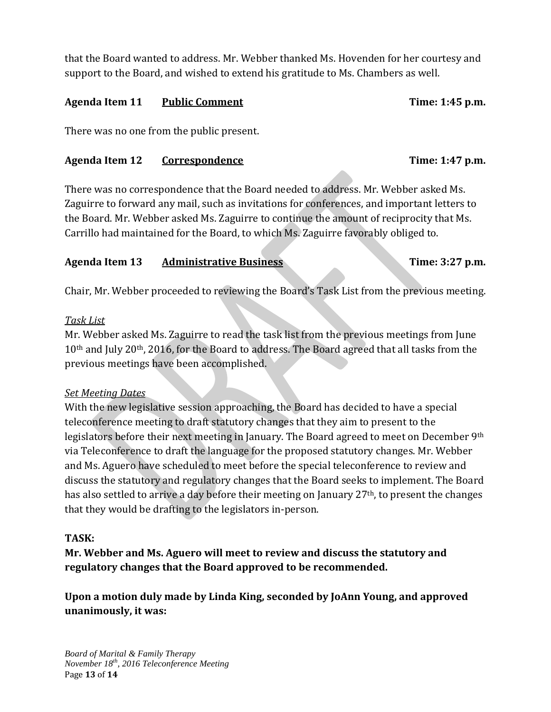that the Board wanted to address. Mr. Webber thanked Ms. Hovenden for her courtesy and support to the Board, and wished to extend his gratitude to Ms. Chambers as well.

#### Agenda Item 11 Public Comment Time: 1:45 p.m.

There was no one from the public present.

#### **Agenda Item 12 Correspondence Time: 1:47 p.m.**

There was no correspondence that the Board needed to address. Mr. Webber asked Ms. Zaguirre to forward any mail, such as invitations for conferences, and important letters to the Board. Mr. Webber asked Ms. Zaguirre to continue the amount of reciprocity that Ms. Carrillo had maintained for the Board, to which Ms. Zaguirre favorably obliged to.

## Agenda Item 13 Administrative Business Time: 3:27 p.m.

Chair, Mr. Webber proceeded to reviewing the Board's Task List from the previous meeting.

#### *Task List*

Mr. Webber asked Ms. Zaguirre to read the task list from the previous meetings from June 10<sup>th</sup> and July 20<sup>th</sup>, 2016, for the Board to address. The Board agreed that all tasks from the previous meetings have been accomplished.

## *Set Meeting Dates*

With the new legislative session approaching, the Board has decided to have a special teleconference meeting to draft statutory changes that they aim to present to the legislators before their next meeting in January. The Board agreed to meet on December 9th via Teleconference to draft the language for the proposed statutory changes. Mr. Webber and Ms. Aguero have scheduled to meet before the special teleconference to review and discuss the statutory and regulatory changes that the Board seeks to implement. The Board has also settled to arrive a day before their meeting on January 27<sup>th</sup>, to present the changes that they would be drafting to the legislators in-person.

## **TASK:**

**Mr. Webber and Ms. Aguero will meet to review and discuss the statutory and regulatory changes that the Board approved to be recommended.**

**Upon a motion duly made by Linda King, seconded by JoAnn Young, and approved unanimously, it was:**